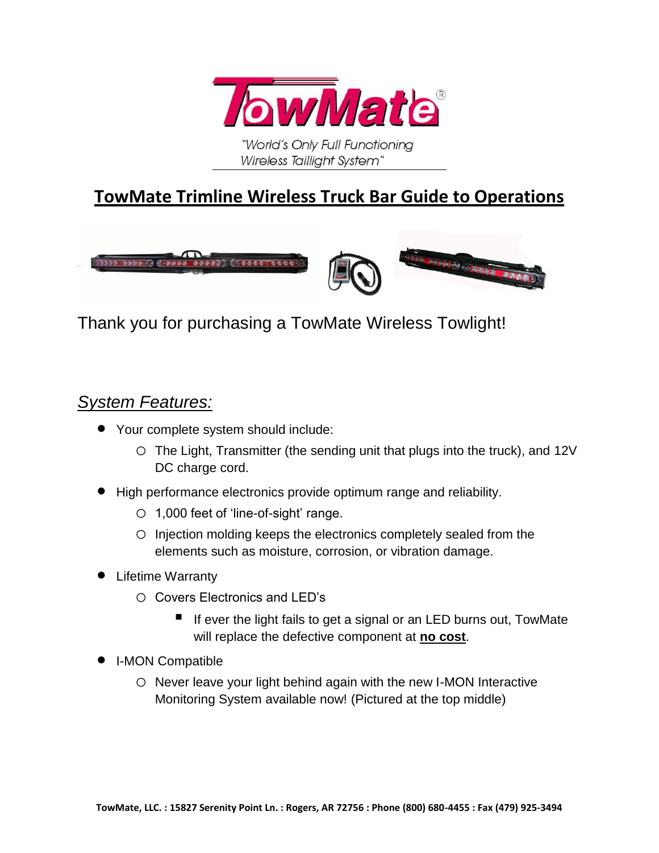

"World's Only Full Functioning Wireless Taillight System"

## **TowMate Trimline Wireless Truck Bar Guide to Operations**



Thank you for purchasing a TowMate Wireless Towlight!

#### *System Features:*

- Your complete system should include:
	- o The Light, Transmitter (the sending unit that plugs into the truck), and 12V DC charge cord.
- High performance electronics provide optimum range and reliability.
	- o 1,000 feet of 'line-of-sight' range.
	- o Injection molding keeps the electronics completely sealed from the elements such as moisture, corrosion, or vibration damage.
- **•** Lifetime Warranty
	- o Covers Electronics and LED's
		- If ever the light fails to get a signal or an LED burns out, TowMate will replace the defective component at **no cost**.
- I-MON Compatible
	- o Never leave your light behind again with the new I-MON Interactive Monitoring System available now! (Pictured at the top middle)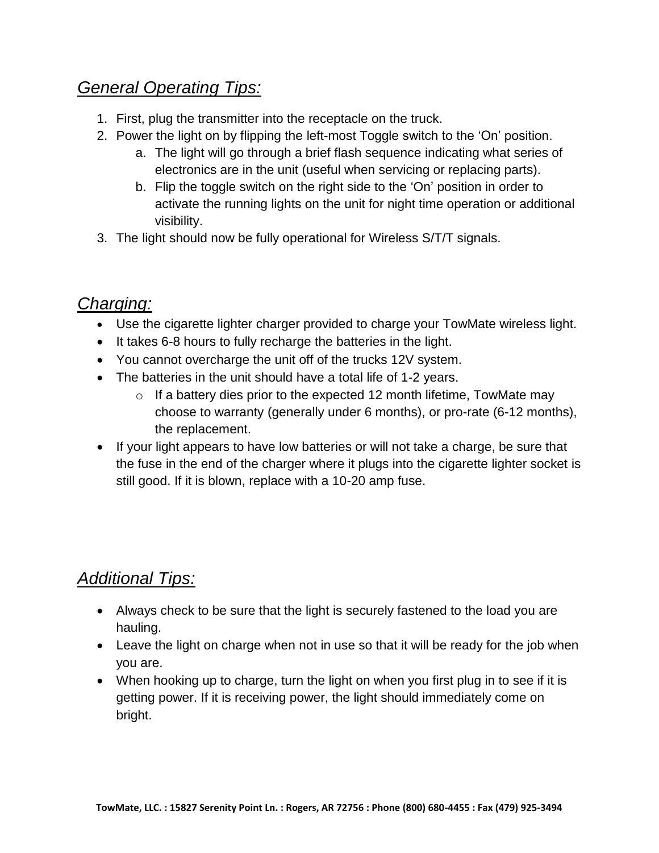#### *General Operating Tips:*

- 1. First, plug the transmitter into the receptacle on the truck.
- 2. Power the light on by flipping the left-most Toggle switch to the 'On' position.
	- a. The light will go through a brief flash sequence indicating what series of electronics are in the unit (useful when servicing or replacing parts).
	- b. Flip the toggle switch on the right side to the 'On' position in order to activate the running lights on the unit for night time operation or additional visibility.
- 3. The light should now be fully operational for Wireless S/T/T signals.

#### *Charging:*

- Use the cigarette lighter charger provided to charge your TowMate wireless light.
- It takes 6-8 hours to fully recharge the batteries in the light.
- You cannot overcharge the unit off of the trucks 12V system.
- The batteries in the unit should have a total life of 1-2 years.
	- $\circ$  If a battery dies prior to the expected 12 month lifetime, TowMate may choose to warranty (generally under 6 months), or pro-rate (6-12 months), the replacement.
- If your light appears to have low batteries or will not take a charge, be sure that the fuse in the end of the charger where it plugs into the cigarette lighter socket is still good. If it is blown, replace with a 10-20 amp fuse.

### *Additional Tips:*

- Always check to be sure that the light is securely fastened to the load you are hauling.
- Leave the light on charge when not in use so that it will be ready for the job when you are.
- When hooking up to charge, turn the light on when you first plug in to see if it is getting power. If it is receiving power, the light should immediately come on bright.